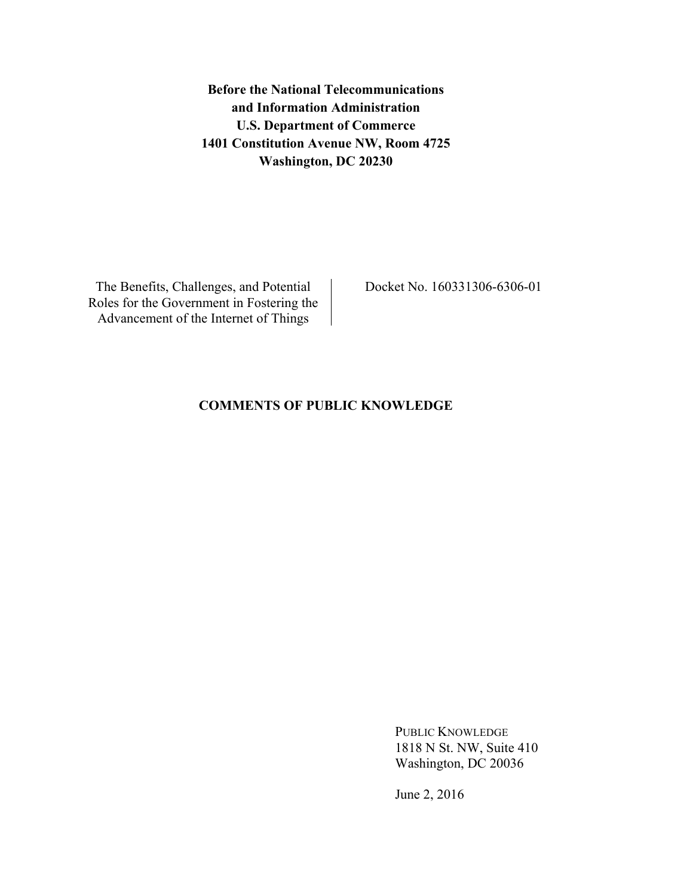**Before the National Telecommunications and Information Administration U.S. Department of Commerce 1401 Constitution Avenue NW, Room 4725 Washington, DC 20230**

The Benefits, Challenges, and Potential Roles for the Government in Fostering the Advancement of the Internet of Things

Docket No. 160331306-6306-01

# **COMMENTS OF PUBLIC KNOWLEDGE**

PUBLIC KNOWLEDGE 1818 N St. NW, Suite 410 Washington, DC 20036

June 2, 2016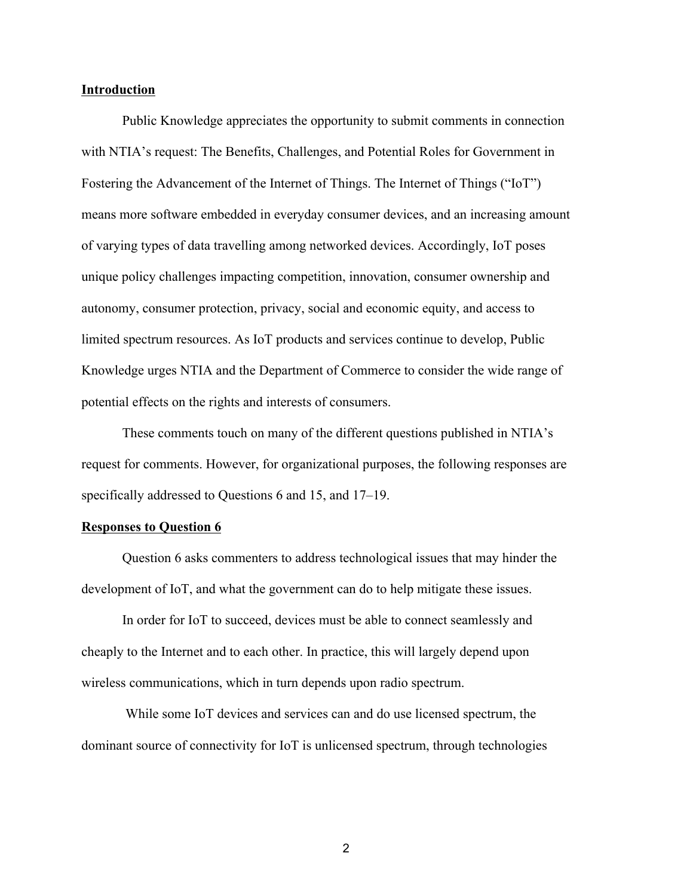### **Introduction**

Public Knowledge appreciates the opportunity to submit comments in connection with NTIA's request: The Benefits, Challenges, and Potential Roles for Government in Fostering the Advancement of the Internet of Things. The Internet of Things ("IoT") means more software embedded in everyday consumer devices, and an increasing amount of varying types of data travelling among networked devices. Accordingly, IoT poses unique policy challenges impacting competition, innovation, consumer ownership and autonomy, consumer protection, privacy, social and economic equity, and access to limited spectrum resources. As IoT products and services continue to develop, Public Knowledge urges NTIA and the Department of Commerce to consider the wide range of potential effects on the rights and interests of consumers.

These comments touch on many of the different questions published in NTIA's request for comments. However, for organizational purposes, the following responses are specifically addressed to Questions 6 and 15, and 17–19.

### **Responses to Question 6**

Question 6 asks commenters to address technological issues that may hinder the development of IoT, and what the government can do to help mitigate these issues.

In order for IoT to succeed, devices must be able to connect seamlessly and cheaply to the Internet and to each other. In practice, this will largely depend upon wireless communications, which in turn depends upon radio spectrum.

While some IoT devices and services can and do use licensed spectrum, the dominant source of connectivity for IoT is unlicensed spectrum, through technologies

2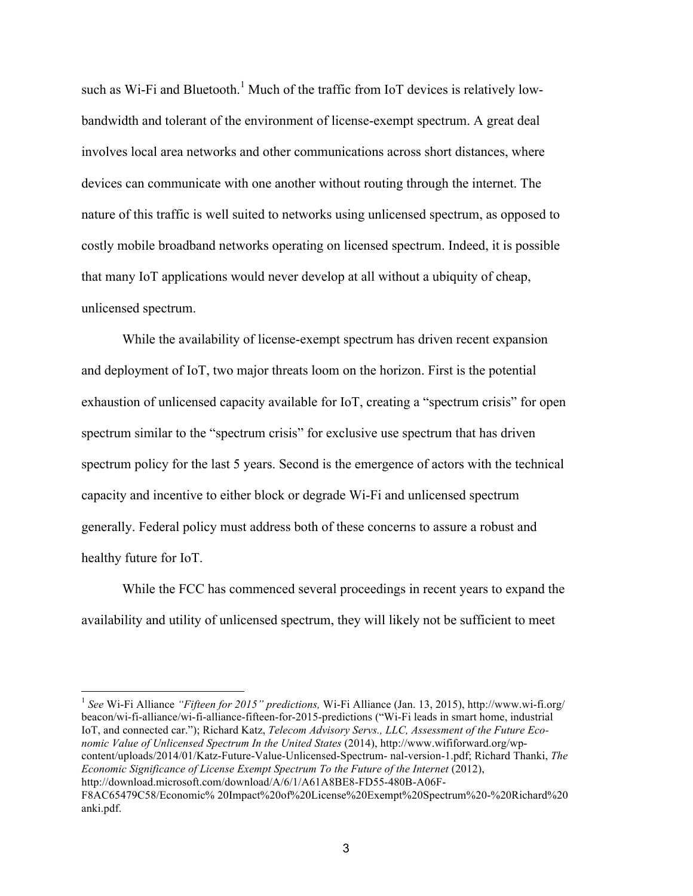such as Wi-Fi and Bluetooth.<sup>1</sup> Much of the traffic from IoT devices is relatively lowbandwidth and tolerant of the environment of license-exempt spectrum. A great deal involves local area networks and other communications across short distances, where devices can communicate with one another without routing through the internet. The nature of this traffic is well suited to networks using unlicensed spectrum, as opposed to costly mobile broadband networks operating on licensed spectrum. Indeed, it is possible that many IoT applications would never develop at all without a ubiquity of cheap, unlicensed spectrum.

While the availability of license-exempt spectrum has driven recent expansion and deployment of IoT, two major threats loom on the horizon. First is the potential exhaustion of unlicensed capacity available for IoT, creating a "spectrum crisis" for open spectrum similar to the "spectrum crisis" for exclusive use spectrum that has driven spectrum policy for the last 5 years. Second is the emergence of actors with the technical capacity and incentive to either block or degrade Wi-Fi and unlicensed spectrum generally. Federal policy must address both of these concerns to assure a robust and healthy future for IoT.

While the FCC has commenced several proceedings in recent years to expand the availability and utility of unlicensed spectrum, they will likely not be sufficient to meet

 <sup>1</sup> *See* Wi-Fi Alliance *"Fifteen for 2015" predictions,* Wi-Fi Alliance (Jan. 13, 2015), http://www.wi-fi.org/ beacon/wi-fi-alliance/wi-fi-alliance-fifteen-for-2015-predictions ("Wi-Fi leads in smart home, industrial IoT, and connected car."); Richard Katz, *Telecom Advisory Servs., LLC, Assessment of the Future Economic Value of Unlicensed Spectrum In the United States* (2014), http://www.wififorward.org/wpcontent/uploads/2014/01/Katz-Future-Value-Unlicensed-Spectrum- nal-version-1.pdf; Richard Thanki, *The Economic Significance of License Exempt Spectrum To the Future of the Internet* (2012), http://download.microsoft.com/download/A/6/1/A61A8BE8-FD55-480B-A06F-F8AC65479C58/Economic% 20Impact%20of%20License%20Exempt%20Spectrum%20-%20Richard%20 anki.pdf.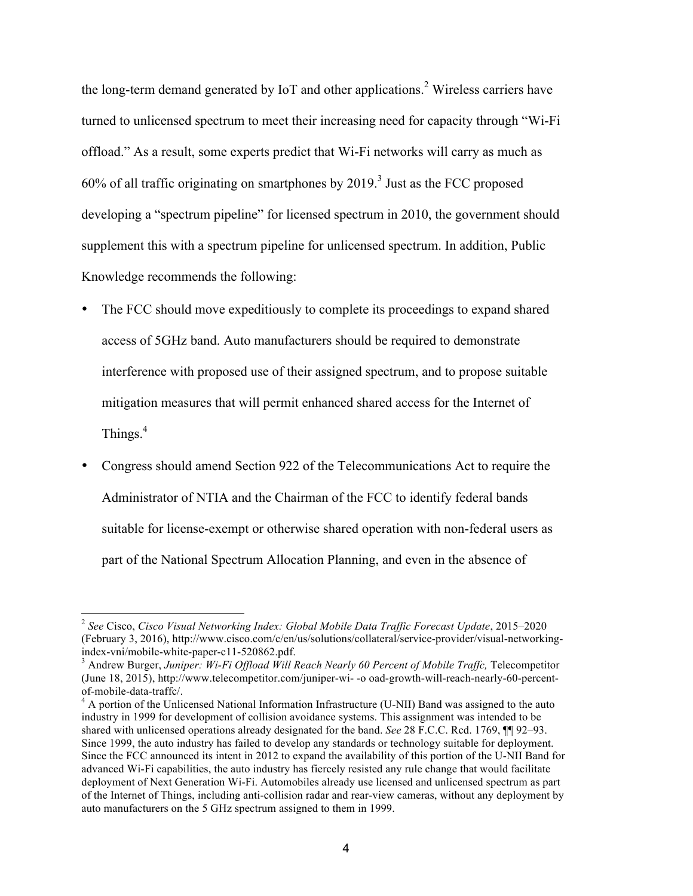the long-term demand generated by IoT and other applications. <sup>2</sup> Wireless carriers have turned to unlicensed spectrum to meet their increasing need for capacity through "Wi-Fi offload." As a result, some experts predict that Wi-Fi networks will carry as much as  $60\%$  of all traffic originating on smartphones by 2019.<sup>3</sup> Just as the FCC proposed developing a "spectrum pipeline" for licensed spectrum in 2010, the government should supplement this with a spectrum pipeline for unlicensed spectrum. In addition, Public Knowledge recommends the following:

- The FCC should move expeditiously to complete its proceedings to expand shared access of 5GHz band. Auto manufacturers should be required to demonstrate interference with proposed use of their assigned spectrum, and to propose suitable mitigation measures that will permit enhanced shared access for the Internet of Things.<sup>4</sup>
- Congress should amend Section 922 of the Telecommunications Act to require the Administrator of NTIA and the Chairman of the FCC to identify federal bands suitable for license-exempt or otherwise shared operation with non-federal users as part of the National Spectrum Allocation Planning, and even in the absence of

<sup>2</sup> *See* Cisco, *Cisco Visual Networking Index: Global Mobile Data Traffic Forecast Update*, 2015–2020 (February 3, 2016), http://www.cisco.com/c/en/us/solutions/collateral/service-provider/visual-networkingindex-vni/mobile-white-paper-c11-520862.pdf.<br><sup>3</sup> Andrew Burger, *Juniper: Wi-Fi Offload Will Reach Nearly 60 Percent of Mobile Traffc*, Telecompetitor

<sup>(</sup>June 18, 2015), http://www.telecompetitor.com/juniper-wi- -o oad-growth-will-reach-nearly-60-percent-

 $4$  A portion of the Unlicensed National Information Infrastructure (U-NII) Band was assigned to the auto industry in 1999 for development of collision avoidance systems. This assignment was intended to be shared with unlicensed operations already designated for the band. *See* 28 F.C.C. Rcd. 1769, ¶¶ 92–93. Since 1999, the auto industry has failed to develop any standards or technology suitable for deployment. Since the FCC announced its intent in 2012 to expand the availability of this portion of the U-NII Band for advanced Wi-Fi capabilities, the auto industry has fiercely resisted any rule change that would facilitate deployment of Next Generation Wi-Fi. Automobiles already use licensed and unlicensed spectrum as part of the Internet of Things, including anti-collision radar and rear-view cameras, without any deployment by auto manufacturers on the 5 GHz spectrum assigned to them in 1999.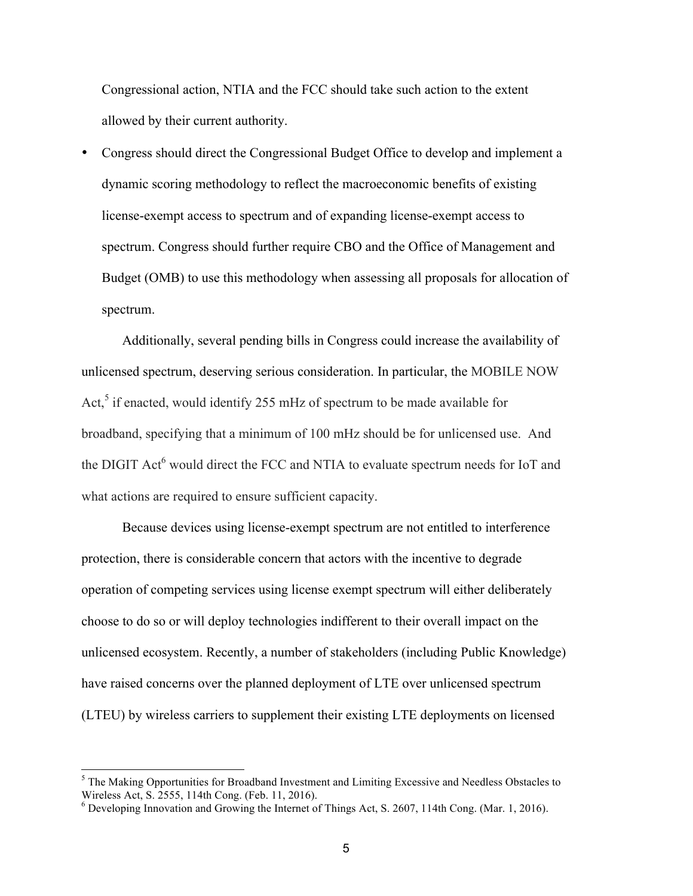Congressional action, NTIA and the FCC should take such action to the extent allowed by their current authority.

• Congress should direct the Congressional Budget Office to develop and implement a dynamic scoring methodology to reflect the macroeconomic benefits of existing license-exempt access to spectrum and of expanding license-exempt access to spectrum. Congress should further require CBO and the Office of Management and Budget (OMB) to use this methodology when assessing all proposals for allocation of spectrum.

Additionally, several pending bills in Congress could increase the availability of unlicensed spectrum, deserving serious consideration. In particular, the MOBILE NOW Act, $5$  if enacted, would identify 255 mHz of spectrum to be made available for broadband, specifying that a minimum of 100 mHz should be for unlicensed use. And the DIGIT Act<sup>6</sup> would direct the FCC and NTIA to evaluate spectrum needs for IoT and what actions are required to ensure sufficient capacity.

Because devices using license-exempt spectrum are not entitled to interference protection, there is considerable concern that actors with the incentive to degrade operation of competing services using license exempt spectrum will either deliberately choose to do so or will deploy technologies indifferent to their overall impact on the unlicensed ecosystem. Recently, a number of stakeholders (including Public Knowledge) have raised concerns over the planned deployment of LTE over unlicensed spectrum (LTEU) by wireless carriers to supplement their existing LTE deployments on licensed

<sup>&</sup>lt;sup>5</sup> The Making Opportunities for Broadband Investment and Limiting Excessive and Needless Obstacles to Wireless Act, S. 2555, 114th Cong. (Feb. 11, 2016). <sup>6</sup> Developing Innovation and Growing the Internet of Things Act, S. 2607, 114th Cong. (Mar. 1, 2016).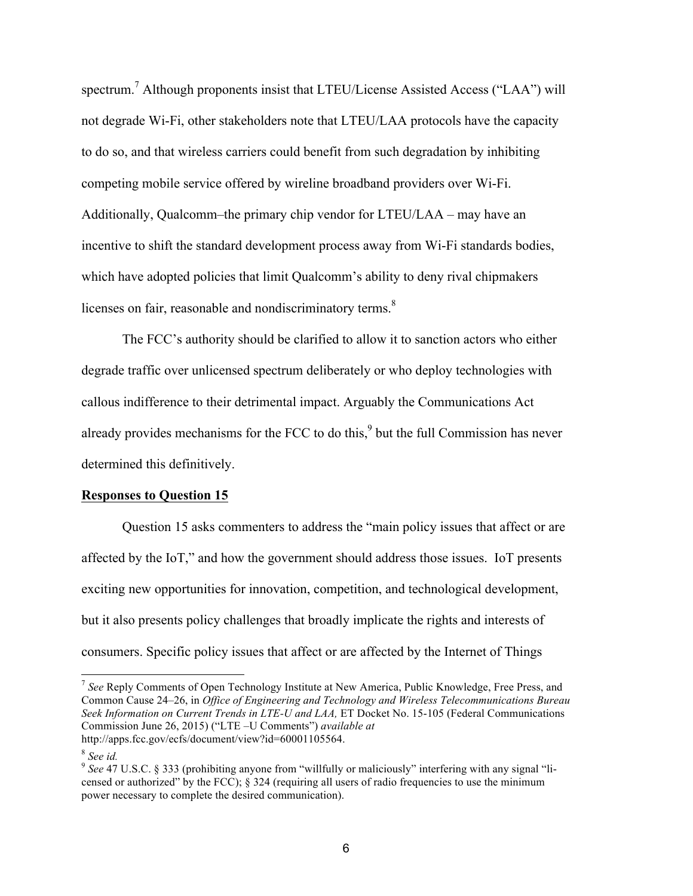spectrum.<sup>7</sup> Although proponents insist that LTEU/License Assisted Access ("LAA") will not degrade Wi-Fi, other stakeholders note that LTEU/LAA protocols have the capacity to do so, and that wireless carriers could benefit from such degradation by inhibiting competing mobile service offered by wireline broadband providers over Wi-Fi. Additionally, Qualcomm–the primary chip vendor for LTEU/LAA – may have an incentive to shift the standard development process away from Wi-Fi standards bodies, which have adopted policies that limit Qualcomm's ability to deny rival chipmakers licenses on fair, reasonable and nondiscriminatory terms.<sup>8</sup>

The FCC's authority should be clarified to allow it to sanction actors who either degrade traffic over unlicensed spectrum deliberately or who deploy technologies with callous indifference to their detrimental impact. Arguably the Communications Act already provides mechanisms for the FCC to do this, $9$  but the full Commission has never determined this definitively.

#### **Responses to Question 15**

Question 15 asks commenters to address the "main policy issues that affect or are affected by the IoT," and how the government should address those issues. IoT presents exciting new opportunities for innovation, competition, and technological development, but it also presents policy challenges that broadly implicate the rights and interests of consumers. Specific policy issues that affect or are affected by the Internet of Things

<sup>7</sup> *See* Reply Comments of Open Technology Institute at New America, Public Knowledge, Free Press, and Common Cause 24–26, in *Office of Engineering and Technology and Wireless Telecommunications Bureau Seek Information on Current Trends in LTE-U and LAA,* ET Docket No. 15-105 (Federal Communications Commission June 26, 2015) ("LTE –U Comments") *available at*  http://apps.fcc.gov/ecfs/document/view?id=60001105564.

<sup>8</sup> *See id.*

<sup>9</sup> *See* 47 U.S.C. § 333 (prohibiting anyone from "willfully or maliciously" interfering with any signal "licensed or authorized" by the FCC);  $\S$  324 (requiring all users of radio frequencies to use the minimum power necessary to complete the desired communication).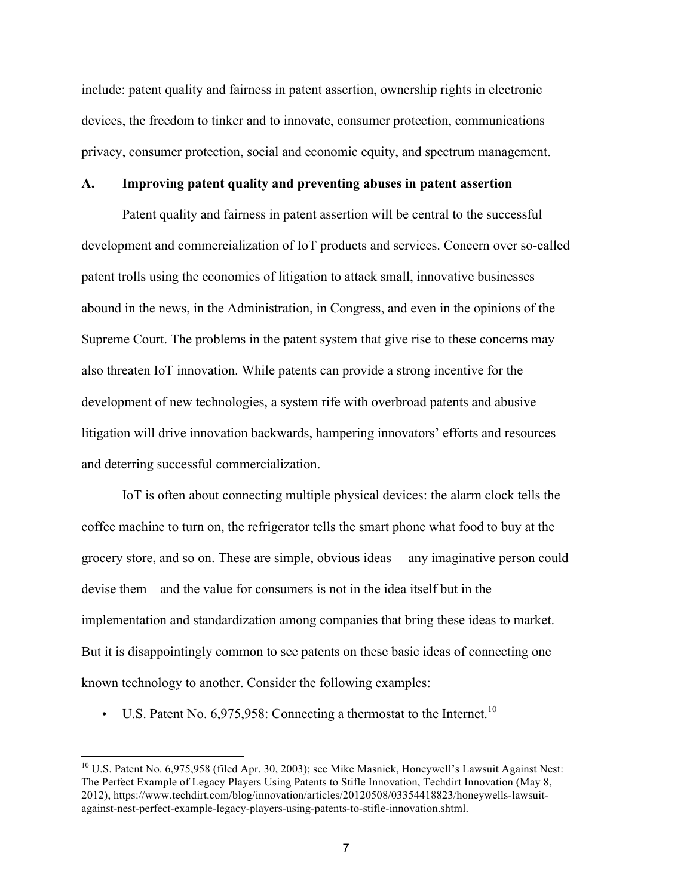include: patent quality and fairness in patent assertion, ownership rights in electronic devices, the freedom to tinker and to innovate, consumer protection, communications privacy, consumer protection, social and economic equity, and spectrum management.

### **A. Improving patent quality and preventing abuses in patent assertion**

Patent quality and fairness in patent assertion will be central to the successful development and commercialization of IoT products and services. Concern over so-called patent trolls using the economics of litigation to attack small, innovative businesses abound in the news, in the Administration, in Congress, and even in the opinions of the Supreme Court. The problems in the patent system that give rise to these concerns may also threaten IoT innovation. While patents can provide a strong incentive for the development of new technologies, a system rife with overbroad patents and abusive litigation will drive innovation backwards, hampering innovators' efforts and resources and deterring successful commercialization.

IoT is often about connecting multiple physical devices: the alarm clock tells the coffee machine to turn on, the refrigerator tells the smart phone what food to buy at the grocery store, and so on. These are simple, obvious ideas— any imaginative person could devise them—and the value for consumers is not in the idea itself but in the implementation and standardization among companies that bring these ideas to market. But it is disappointingly common to see patents on these basic ideas of connecting one known technology to another. Consider the following examples:

• U.S. Patent No.  $6,975,958$ : Connecting a thermostat to the Internet.<sup>10</sup>

<sup>&</sup>lt;sup>10</sup> U.S. Patent No. 6,975,958 (filed Apr. 30, 2003); see Mike Masnick, Honeywell's Lawsuit Against Nest: The Perfect Example of Legacy Players Using Patents to Stifle Innovation, Techdirt Innovation (May 8, 2012), https://www.techdirt.com/blog/innovation/articles/20120508/03354418823/honeywells-lawsuitagainst-nest-perfect-example-legacy-players-using-patents-to-stifle-innovation.shtml.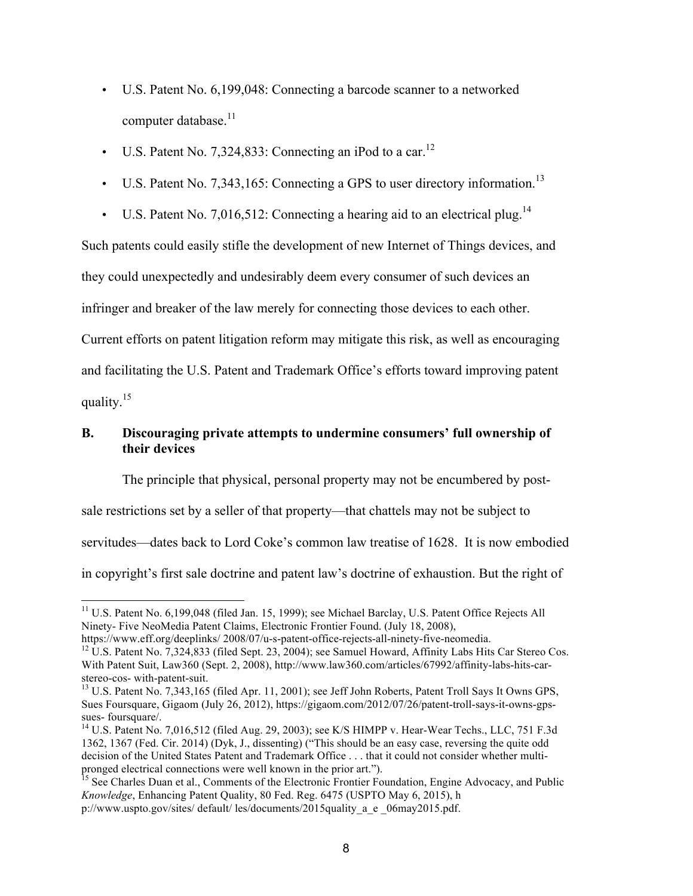- U.S. Patent No. 6,199,048: Connecting a barcode scanner to a networked computer database.<sup>11</sup>
- U.S. Patent No. 7,324,833: Connecting an iPod to a car.<sup>12</sup>
- U.S. Patent No. 7,343,165: Connecting a GPS to user directory information.<sup>13</sup>
- U.S. Patent No. 7,016,512: Connecting a hearing aid to an electrical plug.<sup>14</sup>

Such patents could easily stifle the development of new Internet of Things devices, and they could unexpectedly and undesirably deem every consumer of such devices an infringer and breaker of the law merely for connecting those devices to each other. Current efforts on patent litigation reform may mitigate this risk, as well as encouraging and facilitating the U.S. Patent and Trademark Office's efforts toward improving patent quality.15

# **B. Discouraging private attempts to undermine consumers' full ownership of their devices**

The principle that physical, personal property may not be encumbered by post-

sale restrictions set by a seller of that property—that chattels may not be subject to

servitudes—dates back to Lord Coke's common law treatise of 1628. It is now embodied

in copyright's first sale doctrine and patent law's doctrine of exhaustion. But the right of

<sup>11</sup> U.S. Patent No. 6,199,048 (filed Jan. 15, 1999); see Michael Barclay, U.S. Patent Office Rejects All Ninety- Five NeoMedia Patent Claims, Electronic Frontier Found. (July 18, 2008),

https://www.eff.org/deeplinks/ 2008/07/u-s-patent-office-rejects-all-ninety-five-neomedia.<br><sup>12</sup> U.S. Patent No. 7,324,833 (filed Sept. 23, 2004); see Samuel Howard, Affinity Labs Hits Car Stereo Cos.

With Patent Suit, Law360 (Sept. 2, 2008), http://www.law360.com/articles/67992/affinity-labs-hits-carstereo-cos- with-patent-suit.<br><sup>13</sup> U.S. Patent No. 7,343,165 (filed Apr. 11, 2001); see Jeff John Roberts, Patent Troll Says It Owns GPS,

Sues Foursquare, Gigaom (July 26, 2012), https://gigaom.com/2012/07/26/patent-troll-says-it-owns-gpssues- foursquare/.<br><sup>14</sup> U.S. Patent No. 7,016,512 (filed Aug. 29, 2003); see K/S HIMPP v. Hear-Wear Techs., LLC, 751 F.3d

<sup>1362, 1367 (</sup>Fed. Cir. 2014) (Dyk, J., dissenting) ("This should be an easy case, reversing the quite odd decision of the United States Patent and Trademark Office . . . that it could not consider whether multipronged electrical connections were well known in the prior art.").<br><sup>15</sup> See Charles Duan et al., Comments of the Electronic Frontier Foundation, Engine Advocacy, and Public

*Knowledge*, Enhancing Patent Quality, 80 Fed. Reg. 6475 (USPTO May 6, 2015), h

p://www.uspto.gov/sites/ default/ les/documents/2015quality\_a\_e \_06may2015.pdf.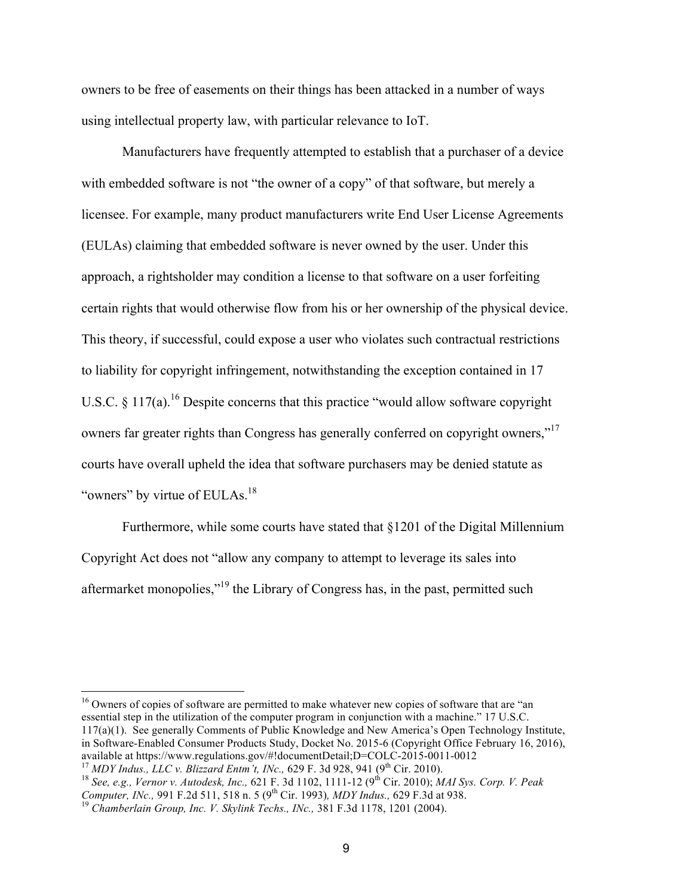owners to be free of easements on their things has been attacked in a number of ways using intellectual property law, with particular relevance to IoT.

Manufacturers have frequently attempted to establish that a purchaser of a device with embedded software is not "the owner of a copy" of that software, but merely a licensee. For example, many product manufacturers write End User License Agreements (EULAs) claiming that embedded software is never owned by the user. Under this approach, a rightsholder may condition a license to that software on a user forfeiting certain rights that would otherwise flow from his or her ownership of the physical device. This theory, if successful, could expose a user who violates such contractual restrictions to liability for copyright infringement, notwithstanding the exception contained in 17 U.S.C.  $\S 117(a)$ .<sup>16</sup> Despite concerns that this practice "would allow software copyright" owners far greater rights than Congress has generally conferred on copyright owners,"<sup>17</sup> courts have overall upheld the idea that software purchasers may be denied statute as "owners" by virtue of EULAs.<sup>18</sup>

Furthermore, while some courts have stated that §1201 of the Digital Millennium Copyright Act does not "allow any company to attempt to leverage its sales into aftermarket monopolies,"<sup>19</sup> the Library of Congress has, in the past, permitted such

<sup>16</sup> Owners of copies of software are permitted to make whatever new copies of software that are "an essential step in the utilization of the computer program in conjunction with a machine." 17 U.S.C. 117(a)(1). See generally Comments of Public Knowledge and New America's Open Technology Institute, in Software-Enabled Consumer Products Study, Docket No. 2015-6 (Copyright Office February 16, 2016), available at https://www.regulations.gov/#!documentDetail;D=COLC-2015-0011-0012 available at https://www.regulations.gov/#!documentDetail;D=COLC-2015-0011-0012<br><sup>17</sup> MDY Indus., LLC v. Blizzard Entm't, INc., 629 F. 3d 928, 941 (9<sup>th</sup> Cir. 2010).<br><sup>18</sup> See, e.g., Vernor v. Autodesk, Inc., 621 F. 3d 1102,

*Computer, INc., 991 F.2d 511, 518 n. 5 (9<sup>th</sup> Cir. 1993), MDY Indus., 629 F.3d at 938.* <sup>19</sup> *Chamberlain Group, Inc. V. Skylink Techs., INc., 381 F.3d 1178, 1201 (2004).*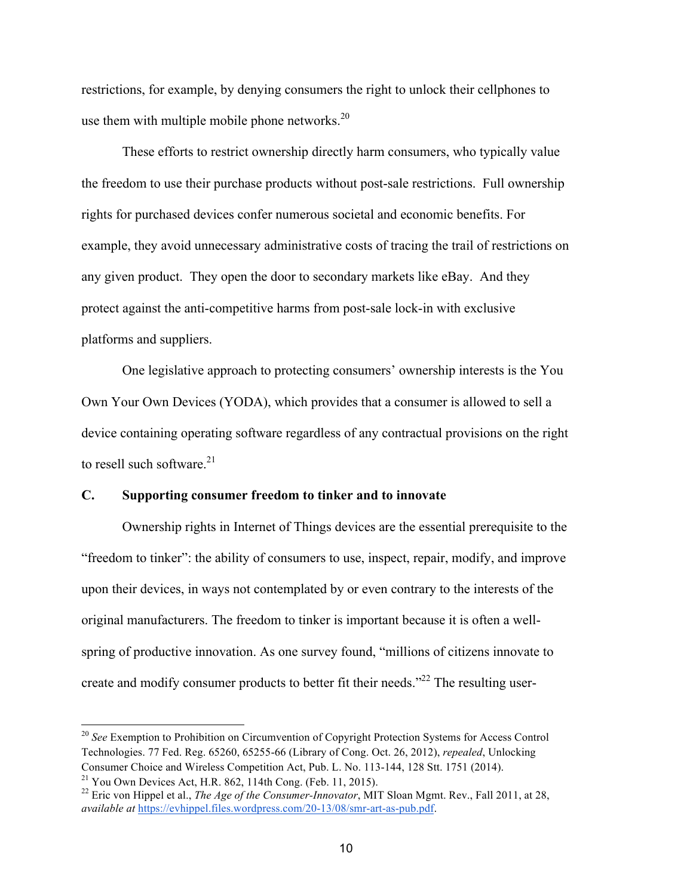restrictions, for example, by denying consumers the right to unlock their cellphones to use them with multiple mobile phone networks. $20$ 

These efforts to restrict ownership directly harm consumers, who typically value the freedom to use their purchase products without post-sale restrictions. Full ownership rights for purchased devices confer numerous societal and economic benefits. For example, they avoid unnecessary administrative costs of tracing the trail of restrictions on any given product. They open the door to secondary markets like eBay. And they protect against the anti-competitive harms from post-sale lock-in with exclusive platforms and suppliers.

One legislative approach to protecting consumers' ownership interests is the You Own Your Own Devices (YODA), which provides that a consumer is allowed to sell a device containing operating software regardless of any contractual provisions on the right to resell such software. $21$ 

## **C. Supporting consumer freedom to tinker and to innovate**

Ownership rights in Internet of Things devices are the essential prerequisite to the "freedom to tinker": the ability of consumers to use, inspect, repair, modify, and improve upon their devices, in ways not contemplated by or even contrary to the interests of the original manufacturers. The freedom to tinker is important because it is often a wellspring of productive innovation. As one survey found, "millions of citizens innovate to create and modify consumer products to better fit their needs."<sup>22</sup> The resulting user-

<sup>20</sup> *See* Exemption to Prohibition on Circumvention of Copyright Protection Systems for Access Control Technologies. 77 Fed. Reg. 65260, 65255-66 (Library of Cong. Oct. 26, 2012), *repealed*, Unlocking Consumer Choice and Wireless Competition Act, Pub. L. No. 113-144, 128 Stt. 1751 (2014).

<sup>&</sup>lt;sup>21</sup> You Own Devices Act, H.R. 862, 114th Cong. (Feb. 11, 2015).<br><sup>22</sup> Eric von Hippel et al., *The Age of the Consumer-Innovator*, MIT Sloan Mgmt. Rev., Fall 2011, at 28, *available at* https://evhippel.files.wordpress.com/20-13/08/smr-art-as-pub.pdf.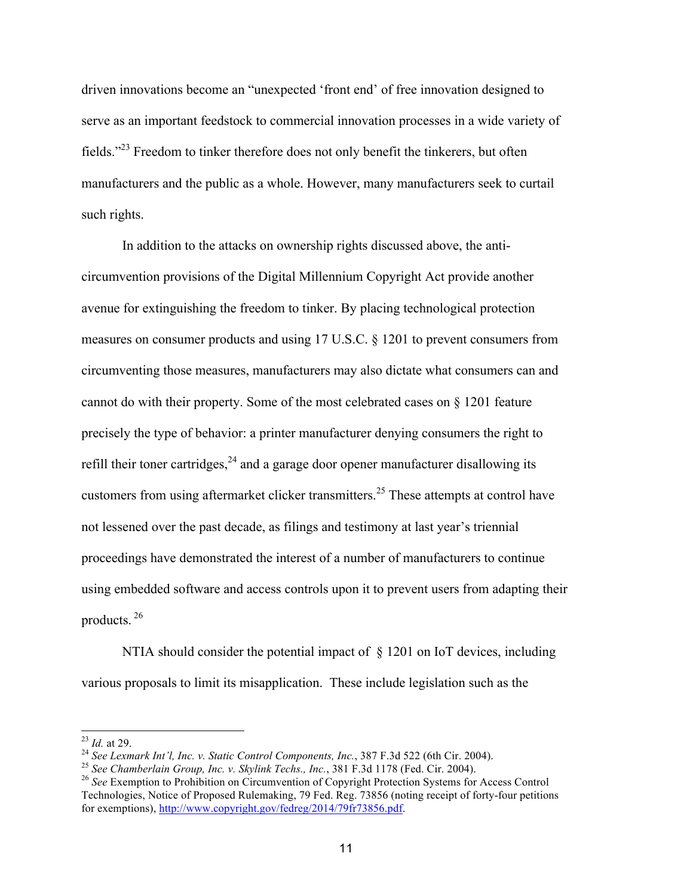driven innovations become an "unexpected 'front end' of free innovation designed to serve as an important feedstock to commercial innovation processes in a wide variety of fields."<sup>23</sup> Freedom to tinker therefore does not only benefit the tinkerers, but often manufacturers and the public as a whole. However, many manufacturers seek to curtail such rights.

In addition to the attacks on ownership rights discussed above, the anticircumvention provisions of the Digital Millennium Copyright Act provide another avenue for extinguishing the freedom to tinker. By placing technological protection measures on consumer products and using 17 U.S.C. § 1201 to prevent consumers from circumventing those measures, manufacturers may also dictate what consumers can and cannot do with their property. Some of the most celebrated cases on § 1201 feature precisely the type of behavior: a printer manufacturer denying consumers the right to refill their toner cartridges,  $24$  and a garage door opener manufacturer disallowing its customers from using aftermarket clicker transmitters.<sup>25</sup> These attempts at control have not lessened over the past decade, as filings and testimony at last year's triennial proceedings have demonstrated the interest of a number of manufacturers to continue using embedded software and access controls upon it to prevent users from adapting their products. <sup>26</sup>

NTIA should consider the potential impact of § 1201 on IoT devices, including various proposals to limit its misapplication. These include legislation such as the

<sup>&</sup>lt;sup>23</sup> *Id.* at 29.<br><sup>24</sup> *See Lexmark Int'l, Inc. v. Static Control Components, Inc., 387 F.3d 522 (6th Cir. 2004).*<br><sup>25</sup> *See Chamberlain Group, Inc. v. Skylink Techs., Inc., 381 F.3d 1178 (Fed. Cir. 2004).*<br><sup>25</sup> *See Exem* 

Technologies, Notice of Proposed Rulemaking, 79 Fed. Reg. 73856 (noting receipt of forty-four petitions for exemptions), http://www.copyright.gov/fedreg/2014/79fr73856.pdf.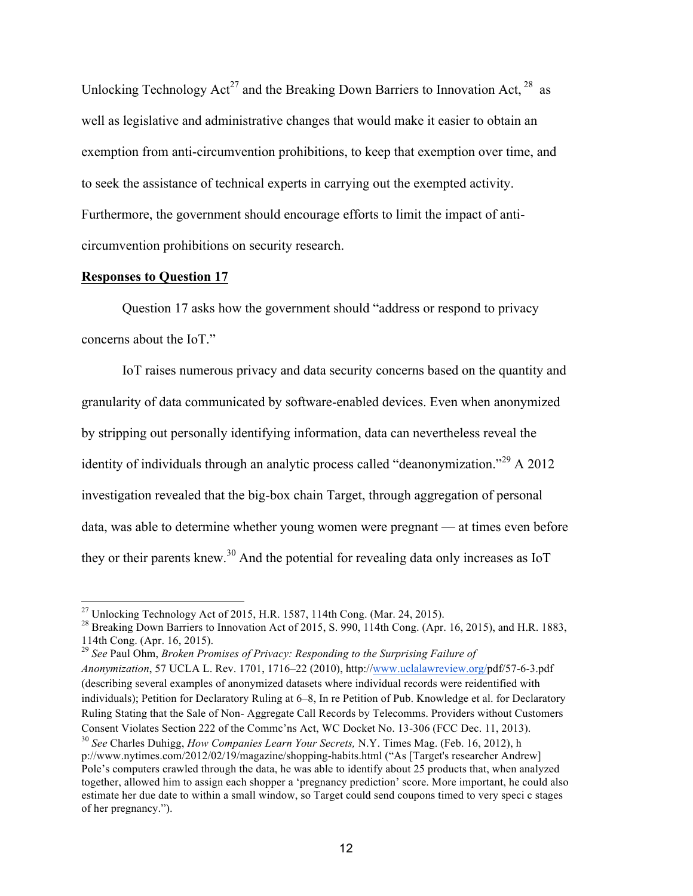Unlocking Technology  $Act^{27}$  and the Breaking Down Barriers to Innovation Act,  $^{28}$  as well as legislative and administrative changes that would make it easier to obtain an exemption from anti-circumvention prohibitions, to keep that exemption over time, and to seek the assistance of technical experts in carrying out the exempted activity. Furthermore, the government should encourage efforts to limit the impact of anticircumvention prohibitions on security research.

### **Responses to Question 17**

Question 17 asks how the government should "address or respond to privacy concerns about the IoT."

IoT raises numerous privacy and data security concerns based on the quantity and granularity of data communicated by software-enabled devices. Even when anonymized by stripping out personally identifying information, data can nevertheless reveal the identity of individuals through an analytic process called "deanonymization."29 A 2012 investigation revealed that the big-box chain Target, through aggregation of personal data, was able to determine whether young women were pregnant — at times even before they or their parents knew.<sup>30</sup> And the potential for revealing data only increases as IoT

<sup>&</sup>lt;sup>27</sup> Unlocking Technology Act of 2015, H.R. 1587, 114th Cong. (Mar. 24, 2015).<br><sup>28</sup> Breaking Down Barriers to Innovation Act of 2015, S. 990, 114th Cong. (Apr. 16, 2015), and H.R. 1883, 114th Cong. (Apr. 16, 2015).

<sup>29</sup> *See* Paul Ohm, *Broken Promises of Privacy: Responding to the Surprising Failure of Anonymization*, 57 UCLA L. Rev. 1701, 1716–22 (2010), http://www.uclalawreview.org/pdf/57-6-3.pdf (describing several examples of anonymized datasets where individual records were reidentified with individuals); Petition for Declaratory Ruling at 6–8, In re Petition of Pub. Knowledge et al. for Declaratory Ruling Stating that the Sale of Non- Aggregate Call Records by Telecomms. Providers without Customers Consent Violates Section 222 of the Commc'ns Act, WC Docket No. 13-306 (FCC Dec. 11, 2013). <sup>30</sup> *See* Charles Duhigg, *How Companies Learn Your Secrets,* N.Y. Times Mag. (Feb. 16, 2012), h

p://www.nytimes.com/2012/02/19/magazine/shopping-habits.html ("As [Target's researcher Andrew] Pole's computers crawled through the data, he was able to identify about 25 products that, when analyzed together, allowed him to assign each shopper a 'pregnancy prediction' score. More important, he could also estimate her due date to within a small window, so Target could send coupons timed to very speci c stages of her pregnancy.").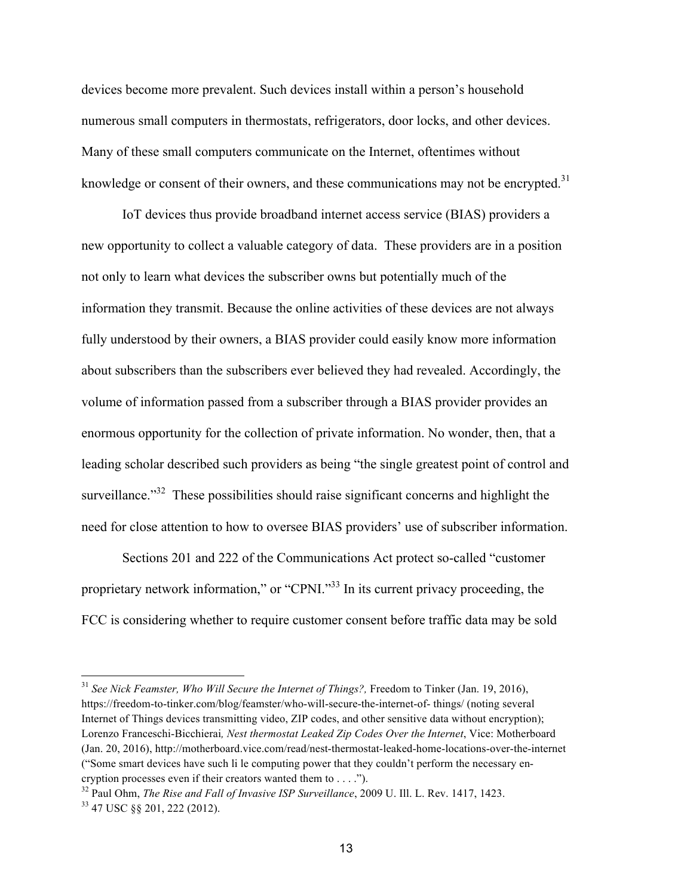devices become more prevalent. Such devices install within a person's household numerous small computers in thermostats, refrigerators, door locks, and other devices. Many of these small computers communicate on the Internet, oftentimes without knowledge or consent of their owners, and these communications may not be encrypted.<sup>31</sup>

IoT devices thus provide broadband internet access service (BIAS) providers a new opportunity to collect a valuable category of data. These providers are in a position not only to learn what devices the subscriber owns but potentially much of the information they transmit. Because the online activities of these devices are not always fully understood by their owners, a BIAS provider could easily know more information about subscribers than the subscribers ever believed they had revealed. Accordingly, the volume of information passed from a subscriber through a BIAS provider provides an enormous opportunity for the collection of private information. No wonder, then, that a leading scholar described such providers as being "the single greatest point of control and surveillance."<sup>32</sup> These possibilities should raise significant concerns and highlight the need for close attention to how to oversee BIAS providers' use of subscriber information.

Sections 201 and 222 of the Communications Act protect so-called "customer proprietary network information," or "CPNI."<sup>33</sup> In its current privacy proceeding, the FCC is considering whether to require customer consent before traffic data may be sold

<sup>31</sup> *See Nick Feamster, Who Will Secure the Internet of Things?,* Freedom to Tinker (Jan. 19, 2016), https://freedom-to-tinker.com/blog/feamster/who-will-secure-the-internet-of- things/ (noting several Internet of Things devices transmitting video, ZIP codes, and other sensitive data without encryption); Lorenzo Franceschi-Bicchierai*, Nest thermostat Leaked Zip Codes Over the Internet*, Vice: Motherboard (Jan. 20, 2016), http://motherboard.vice.com/read/nest-thermostat-leaked-home-locations-over-the-internet ("Some smart devices have such li le computing power that they couldn't perform the necessary encryption processes even if their creators wanted them to . . . .").

<sup>32</sup> Paul Ohm, *The Rise and Fall of Invasive ISP Surveillance*, 2009 U. Ill. L. Rev. 1417, 1423. <sup>33</sup> 47 USC §§ 201, 222 (2012).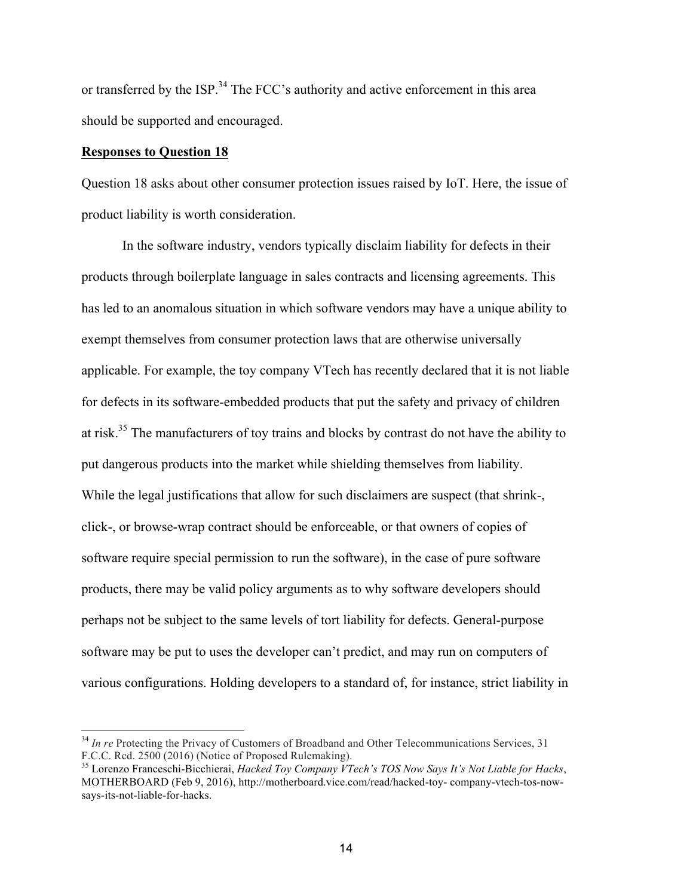or transferred by the ISP.<sup>34</sup> The FCC's authority and active enforcement in this area should be supported and encouraged.

### **Responses to Question 18**

Question 18 asks about other consumer protection issues raised by IoT. Here, the issue of product liability is worth consideration.

In the software industry, vendors typically disclaim liability for defects in their products through boilerplate language in sales contracts and licensing agreements. This has led to an anomalous situation in which software vendors may have a unique ability to exempt themselves from consumer protection laws that are otherwise universally applicable. For example, the toy company VTech has recently declared that it is not liable for defects in its software-embedded products that put the safety and privacy of children at risk.<sup>35</sup> The manufacturers of toy trains and blocks by contrast do not have the ability to put dangerous products into the market while shielding themselves from liability. While the legal justifications that allow for such disclaimers are suspect (that shrink-, click-, or browse-wrap contract should be enforceable, or that owners of copies of software require special permission to run the software), in the case of pure software products, there may be valid policy arguments as to why software developers should perhaps not be subject to the same levels of tort liability for defects. General-purpose software may be put to uses the developer can't predict, and may run on computers of various configurations. Holding developers to a standard of, for instance, strict liability in

<sup>&</sup>lt;sup>34</sup> *In re* Protecting the Privacy of Customers of Broadband and Other Telecommunications Services, 31 F.C.C. Rcd. 2500 (2016) (Notice of Proposed Rulemaking).

<sup>35</sup> Lorenzo Franceschi-Bicchierai, *Hacked Toy Company VTech's TOS Now Says It's Not Liable for Hacks*, MOTHERBOARD (Feb 9, 2016), http://motherboard.vice.com/read/hacked-toy- company-vtech-tos-nowsays-its-not-liable-for-hacks.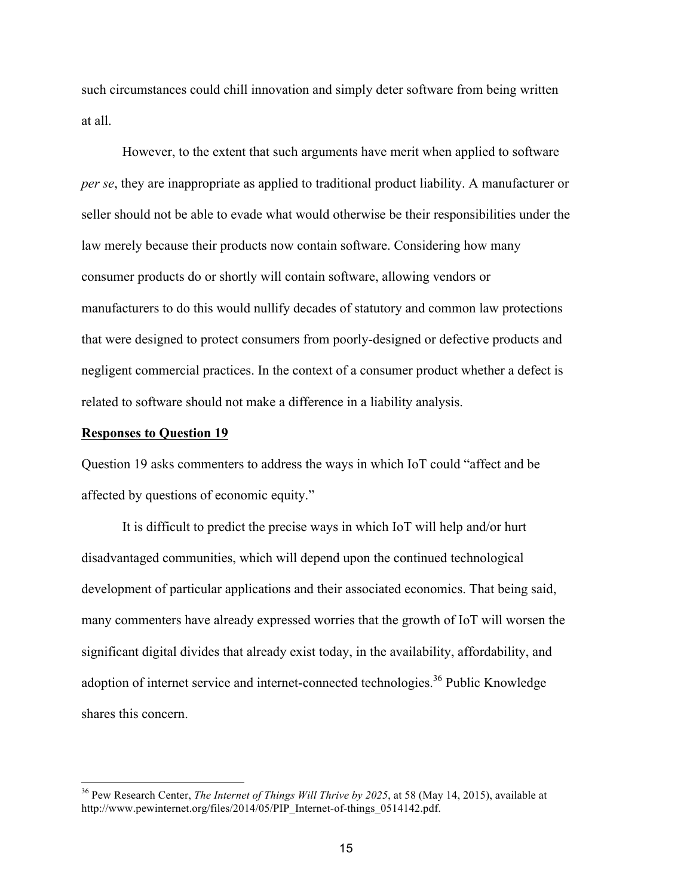such circumstances could chill innovation and simply deter software from being written at all.

However, to the extent that such arguments have merit when applied to software *per se*, they are inappropriate as applied to traditional product liability. A manufacturer or seller should not be able to evade what would otherwise be their responsibilities under the law merely because their products now contain software. Considering how many consumer products do or shortly will contain software, allowing vendors or manufacturers to do this would nullify decades of statutory and common law protections that were designed to protect consumers from poorly-designed or defective products and negligent commercial practices. In the context of a consumer product whether a defect is related to software should not make a difference in a liability analysis.

#### **Responses to Question 19**

Question 19 asks commenters to address the ways in which IoT could "affect and be affected by questions of economic equity."

It is difficult to predict the precise ways in which IoT will help and/or hurt disadvantaged communities, which will depend upon the continued technological development of particular applications and their associated economics. That being said, many commenters have already expressed worries that the growth of IoT will worsen the significant digital divides that already exist today, in the availability, affordability, and adoption of internet service and internet-connected technologies.<sup>36</sup> Public Knowledge shares this concern.

<sup>36</sup> Pew Research Center, *The Internet of Things Will Thrive by 2025*, at 58 (May 14, 2015), available at http://www.pewinternet.org/files/2014/05/PIP\_Internet-of-things\_0514142.pdf.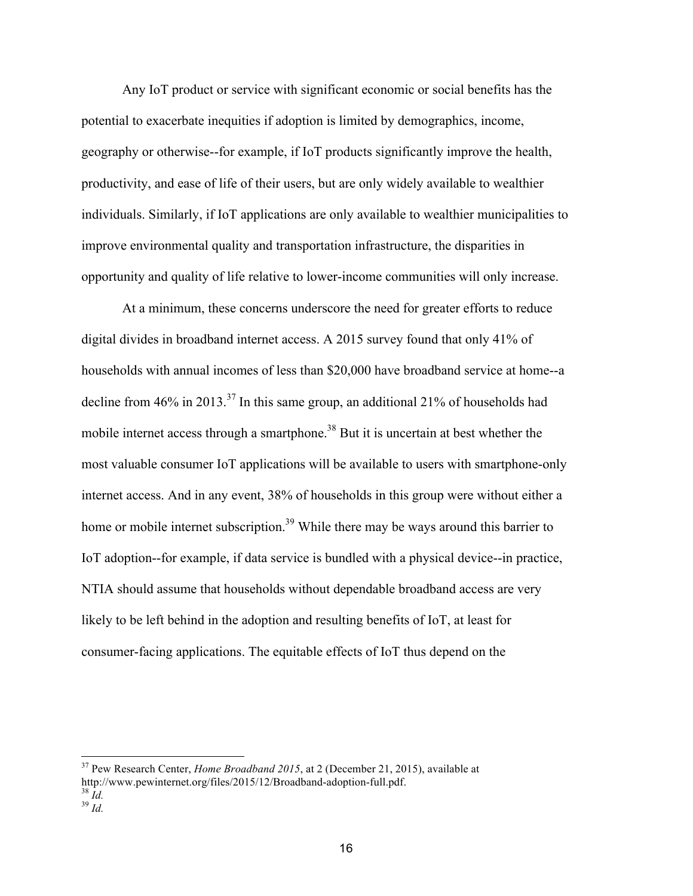Any IoT product or service with significant economic or social benefits has the potential to exacerbate inequities if adoption is limited by demographics, income, geography or otherwise--for example, if IoT products significantly improve the health, productivity, and ease of life of their users, but are only widely available to wealthier individuals. Similarly, if IoT applications are only available to wealthier municipalities to improve environmental quality and transportation infrastructure, the disparities in opportunity and quality of life relative to lower-income communities will only increase.

At a minimum, these concerns underscore the need for greater efforts to reduce digital divides in broadband internet access. A 2015 survey found that only 41% of households with annual incomes of less than \$20,000 have broadband service at home--a decline from 46% in 2013.<sup>37</sup> In this same group, an additional 21% of households had mobile internet access through a smartphone.<sup>38</sup> But it is uncertain at best whether the most valuable consumer IoT applications will be available to users with smartphone-only internet access. And in any event, 38% of households in this group were without either a home or mobile internet subscription.<sup>39</sup> While there may be ways around this barrier to IoT adoption--for example, if data service is bundled with a physical device--in practice, NTIA should assume that households without dependable broadband access are very likely to be left behind in the adoption and resulting benefits of IoT, at least for consumer-facing applications. The equitable effects of IoT thus depend on the

<sup>37</sup> Pew Research Center, *Home Broadband 2015*, at 2 (December 21, 2015), available at http://www.pewinternet.org/files/2015/12/Broadband-adoption-full.pdf.<br><sup>38</sup> *Id.* <sup>39</sup> *Id* 

<sup>16</sup>